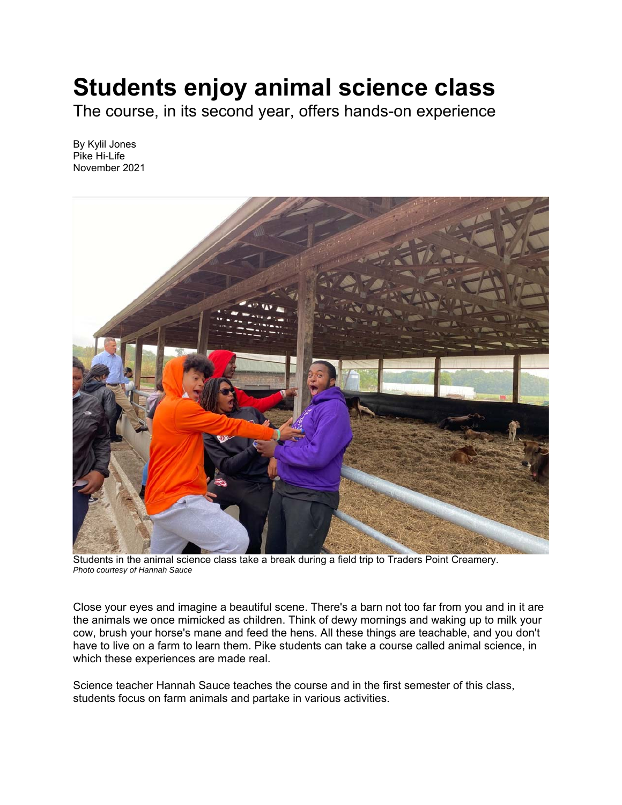## **Students enjoy animal science class**

The course, in its second year, offers hands-on experience

By Kylil Jones Pike Hi-Life November 2021



Students in the animal science class take a break during a field trip to Traders Point Creamery. *Photo courtesy of Hannah Sauce* 

Close your eyes and imagine a beautiful scene. There's a barn not too far from you and in it are the animals we once mimicked as children. Think of dewy mornings and waking up to milk your cow, brush your horse's mane and feed the hens. All these things are teachable, and you don't have to live on a farm to learn them. Pike students can take a course called animal science, in which these experiences are made real.

Science teacher Hannah Sauce teaches the course and in the first semester of this class, students focus on farm animals and partake in various activities.